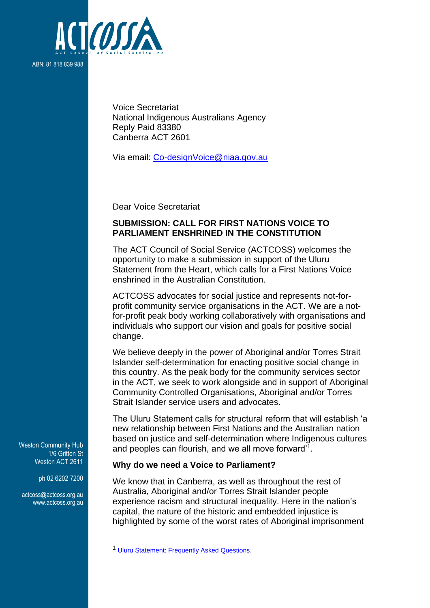

Voice Secretariat National Indigenous Australians Agency Reply Paid 83380 Canberra ACT 2601

Via email: [Co-designVoice@niaa.gov.au](mailto:Co-designVoice@niaa.gov.au)

Dear Voice Secretariat

# **SUBMISSION: CALL FOR FIRST NATIONS VOICE TO PARLIAMENT ENSHRINED IN THE CONSTITUTION**

The ACT Council of Social Service (ACTCOSS) welcomes the opportunity to make a submission in support of the Uluru Statement from the Heart, which calls for a First Nations Voice enshrined in the Australian Constitution.

ACTCOSS advocates for social justice and represents not-forprofit community service organisations in the ACT. We are a notfor-profit peak body working collaboratively with organisations and individuals who support our vision and goals for positive social change.

We believe deeply in the power of Aboriginal and/or Torres Strait Islander self-determination for enacting positive social change in this country. As the peak body for the community services sector in the ACT, we seek to work alongside and in support of Aboriginal Community Controlled Organisations, Aboriginal and/or Torres Strait Islander service users and advocates.

The Uluru Statement calls for structural reform that will establish 'a new relationship between First Nations and the Australian nation based on justice and self-determination where Indigenous cultures and peoples can flourish, and we all move forward'<sup>1</sup> .

#### **Why do we need a Voice to Parliament?**

We know that in Canberra, as well as throughout the rest of Australia, Aboriginal and/or Torres Strait Islander people experience racism and structural inequality. Here in the nation's capital, the nature of the historic and embedded injustice is highlighted by some of the worst rates of Aboriginal imprisonment

Weston Community Hub 1/6 Gritten St Weston ACT 2611

ph 02 6202 7200

[actcoss@actcoss.org.au](mailto:actcoss@actcoss.org.au) www.actcoss.org.au

<sup>&</sup>lt;sup>1</sup> [Uluru Statement: Frequently Asked Questions.](https://ulurustatement.org/faqs)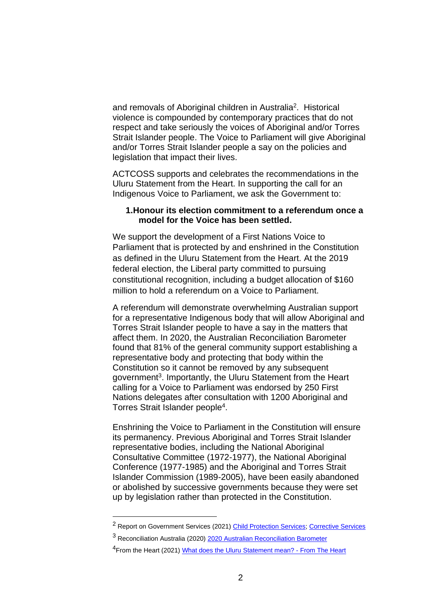and removals of Aboriginal children in Australia<sup>2</sup>. Historical violence is compounded by contemporary practices that do not respect and take seriously the voices of Aboriginal and/or Torres Strait Islander people. The Voice to Parliament will give Aboriginal and/or Torres Strait Islander people a say on the policies and legislation that impact their lives.

ACTCOSS supports and celebrates the recommendations in the Uluru Statement from the Heart. In supporting the call for an Indigenous Voice to Parliament, we ask the Government to:

### **1.Honour its election commitment to a referendum once a model for the Voice has been settled.**

We support the development of a First Nations Voice to Parliament that is protected by and enshrined in the Constitution as defined in the Uluru Statement from the Heart. At the 2019 federal election, the Liberal party committed to pursuing constitutional recognition, including a budget allocation of \$160 million to hold a referendum on a Voice to Parliament.

A referendum will demonstrate overwhelming Australian support for a representative Indigenous body that will allow Aboriginal and Torres Strait Islander people to have a say in the matters that affect them. In 2020, the Australian Reconciliation Barometer found that 81% of the general community support establishing a representative body and protecting that body within the Constitution so it cannot be removed by any subsequent government<sup>3</sup>. Importantly, the Uluru Statement from the Heart calling for a Voice to Parliament was endorsed by 250 First Nations delegates after consultation with 1200 Aboriginal and Torres Strait Islander people<sup>4</sup>.

Enshrining the Voice to Parliament in the Constitution will ensure its permanency. Previous Aboriginal and Torres Strait Islander representative bodies, including the National Aboriginal Consultative Committee (1972-1977), the National Aboriginal Conference (1977-1985) and the Aboriginal and Torres Strait Islander Commission (1989-2005), have been easily abandoned or abolished by successive governments because they were set up by legislation rather than protected in the Constitution.

<sup>2</sup> Report on Government Services (2021[\) Child Protection Services;](https://www.pc.gov.au/research/ongoing/report-on-government-services/2021/community-services/child-protection) [Corrective Services](https://www.pc.gov.au/research/ongoing/report-on-government-services/2021/justice/corrective-services)

<sup>&</sup>lt;sup>3</sup> Reconciliation Australia (2020) [2020 Australian Reconciliation Barometer](https://www.reconciliation.org.au/wp-content/uploads/2020/11/australian_reconciliation_barometer_-2020_summary-report_web_spread.pdf)

<sup>&</sup>lt;sup>4</sup>From the Heart (2021) [What does the Uluru Statement mean? -](https://fromtheheart.com.au/uluru-statement/what-does-it-mean/#:~:text=The%20Uluru%20Statement%20from%20the%20Heart%20%28Uluru%20Statement%29,recognise%20First%20Australians%20through%20a%20Voice%20to%20Parliament.) From The Heart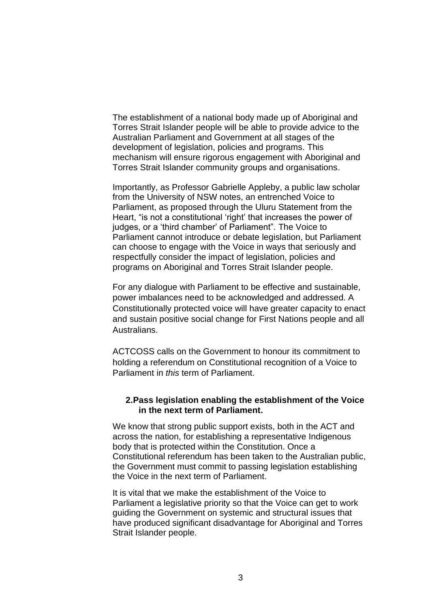The establishment of a national body made up of Aboriginal and Torres Strait Islander people will be able to provide advice to the Australian Parliament and Government at all stages of the development of legislation, policies and programs. This mechanism will ensure rigorous engagement with Aboriginal and Torres Strait Islander community groups and organisations.

Importantly, as Professor Gabrielle Appleby, a public law scholar from the University of NSW notes, an entrenched Voice to Parliament, as proposed through the Uluru Statement from the Heart, "is not a constitutional 'right' that increases the power of judges, or a 'third chamber' of Parliament". The Voice to Parliament cannot introduce or debate legislation, but Parliament can choose to engage with the Voice in ways that seriously and respectfully consider the impact of legislation, policies and programs on Aboriginal and Torres Strait Islander people.

For any dialogue with Parliament to be effective and sustainable, power imbalances need to be acknowledged and addressed. A Constitutionally protected voice will have greater capacity to enact and sustain positive social change for First Nations people and all Australians.

ACTCOSS calls on the Government to honour its commitment to holding a referendum on Constitutional recognition of a Voice to Parliament in *this* term of Parliament.

### **2.Pass legislation enabling the establishment of the Voice in the next term of Parliament.**

We know that strong public support exists, both in the ACT and across the nation, for establishing a representative Indigenous body that is protected within the Constitution. Once a Constitutional referendum has been taken to the Australian public, the Government must commit to passing legislation establishing the Voice in the next term of Parliament.

It is vital that we make the establishment of the Voice to Parliament a legislative priority so that the Voice can get to work guiding the Government on systemic and structural issues that have produced significant disadvantage for Aboriginal and Torres Strait Islander people.